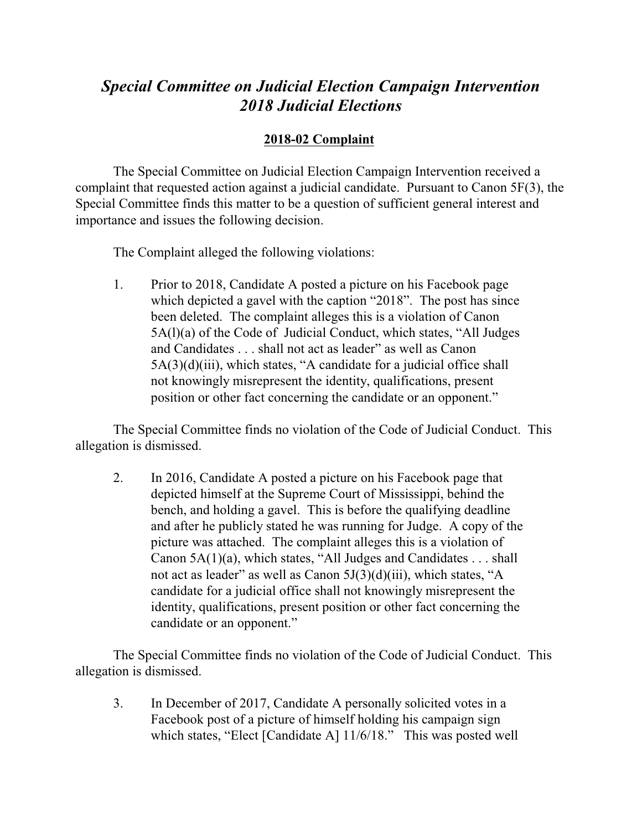## *Special Committee on Judicial Election Campaign Intervention 2018 Judicial Elections*

## **2018-02 Complaint**

The Special Committee on Judicial Election Campaign Intervention received a complaint that requested action against a judicial candidate. Pursuant to Canon 5F(3), the Special Committee finds this matter to be a question of sufficient general interest and importance and issues the following decision.

The Complaint alleged the following violations:

1. Prior to 2018, Candidate A posted a picture on his Facebook page which depicted a gavel with the caption "2018". The post has since been deleted. The complaint alleges this is a violation of Canon 5A(l)(a) of the Code of Judicial Conduct, which states, "All Judges and Candidates . . . shall not act as leader" as well as Canon 5A(3)(d)(iii), which states, "A candidate for a judicial office shall not knowingly misrepresent the identity, qualifications, present position or other fact concerning the candidate or an opponent."

The Special Committee finds no violation of the Code of Judicial Conduct. This allegation is dismissed.

2. In 2016, Candidate A posted a picture on his Facebook page that depicted himself at the Supreme Court of Mississippi, behind the bench, and holding a gavel. This is before the qualifying deadline and after he publicly stated he was running for Judge. A copy of the picture was attached. The complaint alleges this is a violation of Canon 5A(1)(a), which states, "All Judges and Candidates . . . shall not act as leader" as well as Canon 5J(3)(d)(iii), which states, "A candidate for a judicial office shall not knowingly misrepresent the identity, qualifications, present position or other fact concerning the candidate or an opponent."

The Special Committee finds no violation of the Code of Judicial Conduct. This allegation is dismissed.

3. In December of 2017, Candidate A personally solicited votes in a Facebook post of a picture of himself holding his campaign sign which states, "Elect [Candidate A] 11/6/18." This was posted well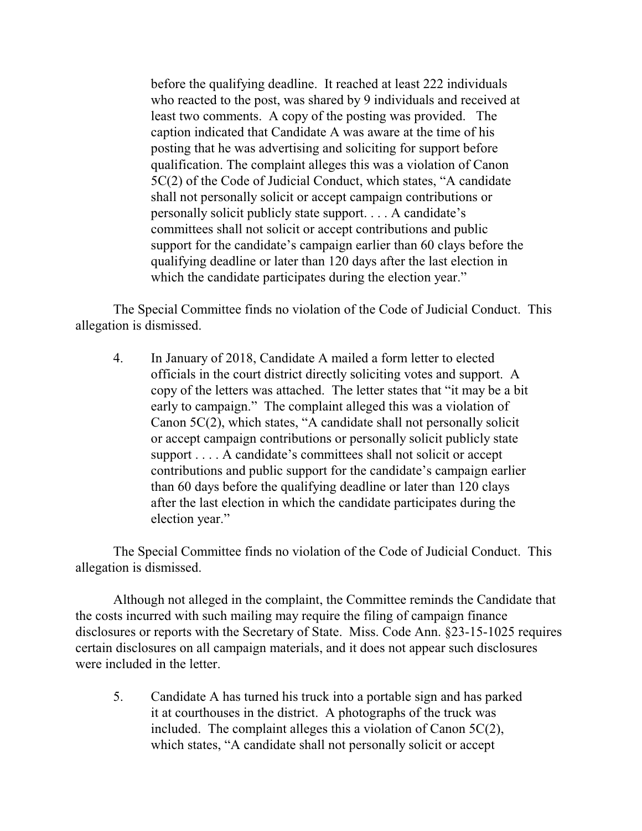before the qualifying deadline. It reached at least 222 individuals who reacted to the post, was shared by 9 individuals and received at least two comments. A copy of the posting was provided. The caption indicated that Candidate A was aware at the time of his posting that he was advertising and soliciting for support before qualification. The complaint alleges this was a violation of Canon 5C(2) of the Code of Judicial Conduct, which states, "A candidate shall not personally solicit or accept campaign contributions or personally solicit publicly state support. . . . A candidate's committees shall not solicit or accept contributions and public support for the candidate's campaign earlier than 60 clays before the qualifying deadline or later than 120 days after the last election in which the candidate participates during the election year."

The Special Committee finds no violation of the Code of Judicial Conduct. This allegation is dismissed.

4. In January of 2018, Candidate A mailed a form letter to elected officials in the court district directly soliciting votes and support. A copy of the letters was attached. The letter states that "it may be a bit early to campaign." The complaint alleged this was a violation of Canon 5C(2), which states, "A candidate shall not personally solicit or accept campaign contributions or personally solicit publicly state support . . . . A candidate's committees shall not solicit or accept contributions and public support for the candidate's campaign earlier than 60 days before the qualifying deadline or later than 120 clays after the last election in which the candidate participates during the election year."

The Special Committee finds no violation of the Code of Judicial Conduct. This allegation is dismissed.

Although not alleged in the complaint, the Committee reminds the Candidate that the costs incurred with such mailing may require the filing of campaign finance disclosures or reports with the Secretary of State. Miss. Code Ann. §23-15-1025 requires certain disclosures on all campaign materials, and it does not appear such disclosures were included in the letter.

5. Candidate A has turned his truck into a portable sign and has parked it at courthouses in the district. A photographs of the truck was included. The complaint alleges this a violation of Canon 5C(2), which states, "A candidate shall not personally solicit or accept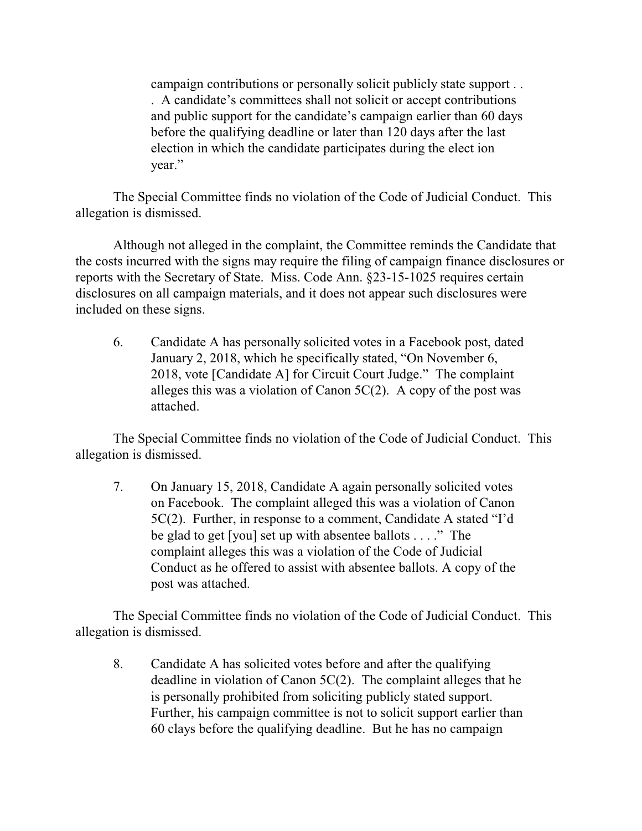campaign contributions or personally solicit publicly state support . . . A candidate's committees shall not solicit or accept contributions and public support for the candidate's campaign earlier than 60 days before the qualifying deadline or later than 120 days after the last election in which the candidate participates during the elect ion year."

The Special Committee finds no violation of the Code of Judicial Conduct. This allegation is dismissed.

Although not alleged in the complaint, the Committee reminds the Candidate that the costs incurred with the signs may require the filing of campaign finance disclosures or reports with the Secretary of State. Miss. Code Ann. §23-15-1025 requires certain disclosures on all campaign materials, and it does not appear such disclosures were included on these signs.

6. Candidate A has personally solicited votes in a Facebook post, dated January 2, 2018, which he specifically stated, "On November 6, 2018, vote [Candidate A] for Circuit Court Judge." The complaint alleges this was a violation of Canon  $5C(2)$ . A copy of the post was attached.

The Special Committee finds no violation of the Code of Judicial Conduct. This allegation is dismissed.

7. On January 15, 2018, Candidate A again personally solicited votes on Facebook. The complaint alleged this was a violation of Canon 5C(2). Further, in response to a comment, Candidate A stated "I'd be glad to get [you] set up with absentee ballots . . . ." The complaint alleges this was a violation of the Code of Judicial Conduct as he offered to assist with absentee ballots. A copy of the post was attached.

The Special Committee finds no violation of the Code of Judicial Conduct. This allegation is dismissed.

8. Candidate A has solicited votes before and after the qualifying deadline in violation of Canon 5C(2). The complaint alleges that he is personally prohibited from soliciting publicly stated support. Further, his campaign committee is not to solicit support earlier than 60 clays before the qualifying deadline. But he has no campaign